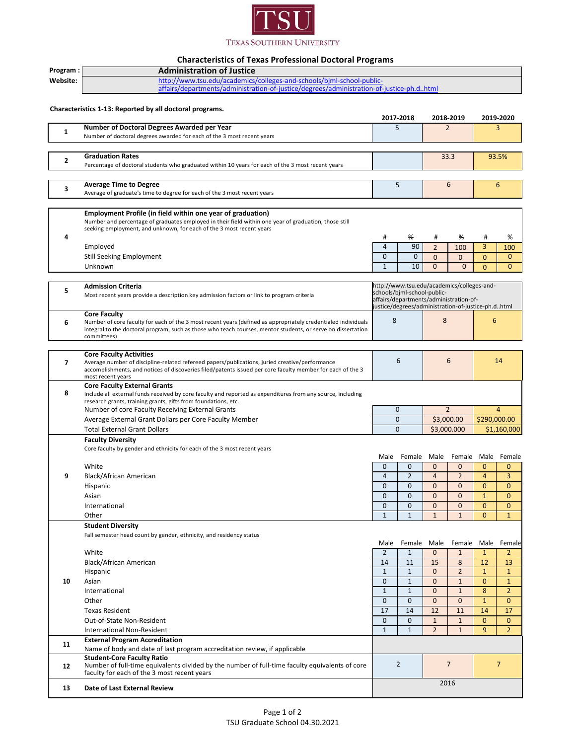

## **Characteristics of Texas Professional Doctoral Programs**

| Program:       | <b>Administration of Justice</b>                                                                                                                                                                                              |                |                                                    |                |                |                         |                |  |
|----------------|-------------------------------------------------------------------------------------------------------------------------------------------------------------------------------------------------------------------------------|----------------|----------------------------------------------------|----------------|----------------|-------------------------|----------------|--|
| Website:       | http://www.tsu.edu/academics/colleges-and-schools/bjml-school-public-                                                                                                                                                         |                |                                                    |                |                |                         |                |  |
|                | affairs/departments/administration-of-justice/degrees/administration-of-justice-ph.dhtml                                                                                                                                      |                |                                                    |                |                |                         |                |  |
|                |                                                                                                                                                                                                                               |                |                                                    |                |                |                         |                |  |
|                | Characteristics 1-13: Reported by all doctoral programs.                                                                                                                                                                      |                |                                                    |                |                |                         |                |  |
|                |                                                                                                                                                                                                                               |                | 2017 2018                                          |                | 2018-2019      |                         | 2019-2020      |  |
|                | Number of Doctoral Degrees Awarded per Year                                                                                                                                                                                   | 5              |                                                    | $\overline{2}$ |                |                         | 3              |  |
| $\mathbf{1}$   | Number of doctoral degrees awarded for each of the 3 most recent years                                                                                                                                                        |                |                                                    |                |                |                         |                |  |
|                |                                                                                                                                                                                                                               |                |                                                    |                |                |                         |                |  |
|                | <b>Graduation Rates</b>                                                                                                                                                                                                       |                |                                                    |                | 33.3           |                         | 93.5%          |  |
| $\mathbf{2}$   | Percentage of doctoral students who graduated within 10 years for each of the 3 most recent years                                                                                                                             |                |                                                    |                |                |                         |                |  |
|                |                                                                                                                                                                                                                               |                |                                                    |                |                |                         |                |  |
|                | <b>Average Time to Degree</b>                                                                                                                                                                                                 | 6              |                                                    |                |                | 6                       |                |  |
| 3              | Average of graduate's time to degree for each of the 3 most recent years                                                                                                                                                      | 5              |                                                    |                |                |                         |                |  |
|                |                                                                                                                                                                                                                               |                |                                                    |                |                |                         |                |  |
|                |                                                                                                                                                                                                                               |                |                                                    |                |                |                         |                |  |
|                | Employment Profile (in field within one year of graduation)<br>Number and percentage of graduates employed in their field within one year of graduation, those still                                                          |                |                                                    |                |                |                         |                |  |
|                | seeking employment, and unknown, for each of the 3 most recent years                                                                                                                                                          |                |                                                    |                |                |                         |                |  |
| 4              |                                                                                                                                                                                                                               | #              | ₩                                                  | #              | %              | #                       | %              |  |
|                | Employed                                                                                                                                                                                                                      | $\overline{4}$ | 90                                                 | $\overline{2}$ | 100            | 3                       | 100            |  |
|                | <b>Still Seeking Employment</b>                                                                                                                                                                                               | $\mathbf{0}$   | $\mathbf{0}$                                       | $\mathbf{0}$   | $\mathbf{0}$   | $\mathbf{0}$            | $\mathbf{0}$   |  |
|                | Unknown                                                                                                                                                                                                                       | $\mathbf{1}$   | 10                                                 | $\mathbf{0}$   | $\mathbf 0$    | $\Omega$                | $\Omega$       |  |
|                |                                                                                                                                                                                                                               |                |                                                    |                |                |                         |                |  |
|                |                                                                                                                                                                                                                               |                | http://www.tsu.edu/academics/colleges-and-         |                |                |                         |                |  |
| 5              | <b>Admission Criteria</b>                                                                                                                                                                                                     |                | schools/bjml-school-public-                        |                |                |                         |                |  |
|                | Most recent years provide a description key admission factors or link to program criteria                                                                                                                                     |                | affairs/departments/administration-of-             |                |                |                         |                |  |
|                |                                                                                                                                                                                                                               |                | justice/degrees/administration-of-justice-ph.dhtml |                |                |                         |                |  |
|                | <b>Core Faculty</b>                                                                                                                                                                                                           | 8<br>8         |                                                    | 6              |                |                         |                |  |
| 6              | Number of core faculty for each of the 3 most recent years (defined as appropriately credentialed individuals<br>integral to the doctoral program, such as those who teach courses, mentor students, or serve on dissertation |                |                                                    |                |                |                         |                |  |
|                | committees)                                                                                                                                                                                                                   |                |                                                    |                |                |                         |                |  |
|                |                                                                                                                                                                                                                               |                |                                                    |                |                |                         |                |  |
|                | <b>Core Faculty Activities</b>                                                                                                                                                                                                |                |                                                    |                |                |                         |                |  |
| $\overline{ }$ | Average number of discipline-related refereed papers/publications, juried creative/performance                                                                                                                                | 6              |                                                    |                | 6              |                         | 14             |  |
|                | accomplishments, and notices of discoveries filed/patents issued per core faculty member for each of the 3                                                                                                                    |                |                                                    |                |                |                         |                |  |
|                | most recent years                                                                                                                                                                                                             |                |                                                    |                |                |                         |                |  |
| 8              | <b>Core Faculty External Grants</b><br>Include all external funds received by core faculty and reported as expenditures from any source, including                                                                            |                |                                                    |                |                |                         |                |  |
|                | research grants, training grants, gifts from foundations, etc.                                                                                                                                                                |                |                                                    |                |                |                         |                |  |
|                | Number of core Faculty Receiving External Grants                                                                                                                                                                              | $\mathbf 0$    |                                                    | $\overline{2}$ |                | $\overline{4}$          |                |  |
|                | Average External Grant Dollars per Core Faculty Member                                                                                                                                                                        | $\mathbf{0}$   |                                                    | \$3,000.00     |                | \$290,000.00            |                |  |
|                | <b>Total External Grant Dollars</b>                                                                                                                                                                                           | $\mathbf{0}$   |                                                    | \$3,000.000    |                | $\overline{51,160,000}$ |                |  |
|                | <b>Faculty Diversity</b>                                                                                                                                                                                                      |                |                                                    |                |                |                         |                |  |
|                | Core faculty by gender and ethnicity for each of the 3 most recent years                                                                                                                                                      |                |                                                    |                |                |                         |                |  |
|                |                                                                                                                                                                                                                               | Male           | Female Male                                        |                | Female         |                         | Male Female    |  |
|                | White                                                                                                                                                                                                                         | $\mathbf 0$    | $\mathbf{0}$                                       | $\mathbf{0}$   | $\overline{0}$ | $\mathbf{0}$            | $\mathbf 0$    |  |
| 9              | Black/African American                                                                                                                                                                                                        | $\overline{4}$ | $\overline{2}$                                     | $\overline{4}$ | $\overline{2}$ | $\overline{4}$          | 3              |  |
|                |                                                                                                                                                                                                                               | $\pmb{0}$      | 0                                                  | $\pmb{0}$      | $\pmb{0}$      | $\pmb{0}$               | $\mathbf{0}$   |  |
|                | Hispanic                                                                                                                                                                                                                      |                |                                                    |                |                |                         |                |  |
|                | Asian                                                                                                                                                                                                                         | $\overline{0}$ | $\mathbf{0}$                                       | $\mathbf 0$    | $\overline{0}$ | $\mathbf{1}$            | $\mathbf{0}$   |  |
|                | International                                                                                                                                                                                                                 | $\mathbf{0}$   | $\mathbf{0}$                                       | $\mathbf{0}$   | $\mathbf{0}$   | $\mathbf{0}$            | $\mathbf{0}$   |  |
|                | Other                                                                                                                                                                                                                         | $\mathbf{1}$   | $\mathbf{1}$                                       | $\mathbf{1}$   | $\mathbf{1}$   | $\Omega$                | $\mathbf{1}$   |  |
|                | <b>Student Diversity</b>                                                                                                                                                                                                      |                |                                                    |                |                |                         |                |  |
|                | Fall semester head count by gender, ethnicity, and residency status                                                                                                                                                           |                |                                                    |                |                |                         |                |  |
|                |                                                                                                                                                                                                                               | Male           | Female                                             | Male           | Female         | Male                    | Female         |  |
|                | White                                                                                                                                                                                                                         | $\overline{2}$ | $\mathbf{1}$                                       | $\mathbf{0}$   | $\mathbf{1}$   | $\mathbf{1}$            | $\overline{2}$ |  |
|                | Black/African American                                                                                                                                                                                                        | 14             | 11                                                 | 15             | 8              | 12                      | 13             |  |
|                | Hispanic                                                                                                                                                                                                                      | $\mathbf{1}$   | $\mathbf{1}$                                       | $\overline{0}$ | $\overline{2}$ | $\mathbf{1}$            | $\mathbf{1}$   |  |
| 10             | Asian                                                                                                                                                                                                                         | $\mathbf{0}$   | $\mathbf{1}$                                       | $\overline{0}$ | $\mathbf{1}$   | $\mathbf{0}$            | $\mathbf{1}$   |  |
|                | International                                                                                                                                                                                                                 | $\mathbf{1}$   | $\mathbf{1}$                                       | $\mathbf 0$    | $\mathbf{1}$   | 8                       | $\overline{2}$ |  |
|                | Other                                                                                                                                                                                                                         | $\mathbf{0}$   | $\mathbf{0}$                                       | $\overline{0}$ | $\overline{0}$ | $\mathbf{1}$            | $\mathbf{0}$   |  |
|                | <b>Texas Resident</b>                                                                                                                                                                                                         | 17             | 14                                                 | 12             | 11             | 14                      | 17             |  |
|                | Out-of-State Non-Resident                                                                                                                                                                                                     | $\mathbf{0}$   | $\mathbf 0$                                        | $\mathbf{1}$   | $\mathbf{1}$   | $\mathbf{0}$            | $\mathbf{0}$   |  |
|                | International Non-Resident                                                                                                                                                                                                    | $\mathbf{1}$   | $\mathbf{1}$                                       | $\overline{2}$ | $\mathbf{1}$   | 9                       | $\overline{2}$ |  |
|                |                                                                                                                                                                                                                               |                |                                                    |                |                |                         |                |  |
| 11             | <b>External Program Accreditation</b><br>Name of body and date of last program accreditation review, if applicable                                                                                                            |                |                                                    |                |                |                         |                |  |
|                | <b>Student-Core Faculty Ratio</b>                                                                                                                                                                                             |                |                                                    |                |                |                         |                |  |
| 12             | Number of full-time equivalents divided by the number of full-time faculty equivalents of core                                                                                                                                |                | $\overline{2}$                                     |                | $\overline{7}$ |                         | $\overline{7}$ |  |
|                | faculty for each of the 3 most recent years                                                                                                                                                                                   |                |                                                    |                |                |                         |                |  |
|                |                                                                                                                                                                                                                               |                |                                                    | 2016           |                |                         |                |  |
| 13             | Date of Last External Review                                                                                                                                                                                                  |                |                                                    |                |                |                         |                |  |